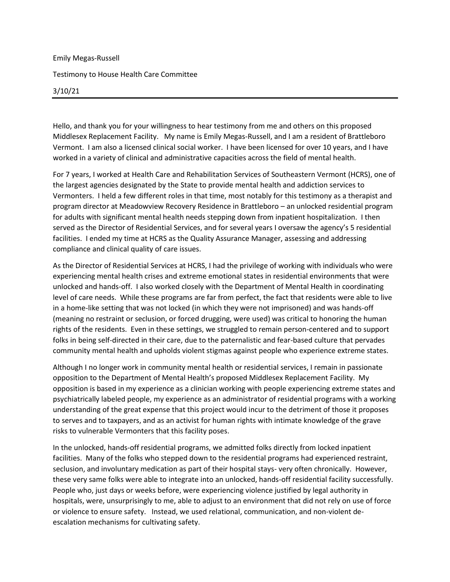## Emily Megas-Russell Testimony to House Health Care Committee 3/10/21

Hello, and thank you for your willingness to hear testimony from me and others on this proposed Middlesex Replacement Facility. My name is Emily Megas-Russell, and I am a resident of Brattleboro Vermont. I am also a licensed clinical social worker. I have been licensed for over 10 years, and I have worked in a variety of clinical and administrative capacities across the field of mental health.

For 7 years, I worked at Health Care and Rehabilitation Services of Southeastern Vermont (HCRS), one of the largest agencies designated by the State to provide mental health and addiction services to Vermonters. I held a few different roles in that time, most notably for this testimony as a therapist and program director at Meadowview Recovery Residence in Brattleboro – an unlocked residential program for adults with significant mental health needs stepping down from inpatient hospitalization. I then served as the Director of Residential Services, and for several years I oversaw the agency's 5 residential facilities. I ended my time at HCRS as the Quality Assurance Manager, assessing and addressing compliance and clinical quality of care issues.

As the Director of Residential Services at HCRS, I had the privilege of working with individuals who were experiencing mental health crises and extreme emotional states in residential environments that were unlocked and hands-off. I also worked closely with the Department of Mental Health in coordinating level of care needs. While these programs are far from perfect, the fact that residents were able to live in a home-like setting that was not locked (in which they were not imprisoned) and was hands-off (meaning no restraint or seclusion, or forced drugging, were used) was critical to honoring the human rights of the residents. Even in these settings, we struggled to remain person-centered and to support folks in being self-directed in their care, due to the paternalistic and fear-based culture that pervades community mental health and upholds violent stigmas against people who experience extreme states.

Although I no longer work in community mental health or residential services, I remain in passionate opposition to the Department of Mental Health's proposed Middlesex Replacement Facility. My opposition is based in my experience as a clinician working with people experiencing extreme states and psychiatrically labeled people, my experience as an administrator of residential programs with a working understanding of the great expense that this project would incur to the detriment of those it proposes to serves and to taxpayers, and as an activist for human rights with intimate knowledge of the grave risks to vulnerable Vermonters that this facility poses.

In the unlocked, hands-off residential programs, we admitted folks directly from locked inpatient facilities. Many of the folks who stepped down to the residential programs had experienced restraint, seclusion, and involuntary medication as part of their hospital stays- very often chronically. However, these very same folks were able to integrate into an unlocked, hands-off residential facility successfully. People who, just days or weeks before, were experiencing violence justified by legal authority in hospitals, were, unsurprisingly to me, able to adjust to an environment that did not rely on use of force or violence to ensure safety. Instead, we used relational, communication, and non-violent deescalation mechanisms for cultivating safety.